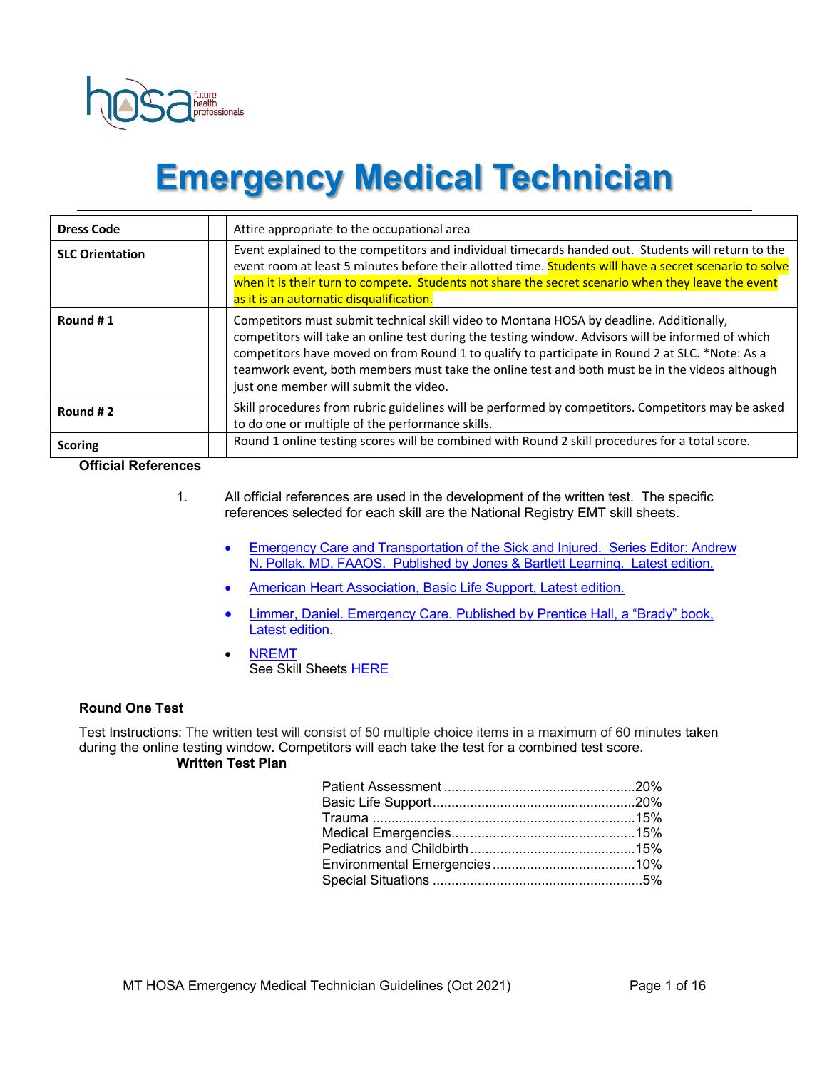

# **Emergency Medical Technician**

| <b>Dress Code</b>                     | Attire appropriate to the occupational area                                                                                                                                                                                                                                                                                                                                                                                                   |
|---------------------------------------|-----------------------------------------------------------------------------------------------------------------------------------------------------------------------------------------------------------------------------------------------------------------------------------------------------------------------------------------------------------------------------------------------------------------------------------------------|
| <b>SLC Orientation</b>                | Event explained to the competitors and individual timecards handed out. Students will return to the<br>event room at least 5 minutes before their allotted time. Students will have a secret scenario to solve<br>when it is their turn to compete. Students not share the secret scenario when they leave the event<br>as it is an automatic disqualification.                                                                               |
| Round #1                              | Competitors must submit technical skill video to Montana HOSA by deadline. Additionally,<br>competitors will take an online test during the testing window. Advisors will be informed of which<br>competitors have moved on from Round 1 to qualify to participate in Round 2 at SLC. *Note: As a<br>teamwork event, both members must take the online test and both must be in the videos although<br>just one member will submit the video. |
| Round #2                              | Skill procedures from rubric guidelines will be performed by competitors. Competitors may be asked<br>to do one or multiple of the performance skills.                                                                                                                                                                                                                                                                                        |
| <b>Scoring</b><br>Official Peferences | Round 1 online testing scores will be combined with Round 2 skill procedures for a total score.                                                                                                                                                                                                                                                                                                                                               |

**Official References**

- 1. All official references are used in the development of the written test. The specific references selected for each skill are the National Registry EMT skill sheets.
	- Emergency Care and Transportation of the Sick and Injured. Series Editor: Andrew N. Pollak, MD, FAAOS. Published by Jones & Bartlett Learning. Latest edition.
	- American Heart Association, Basic Life Support, Latest edition.
	- Limmer, Daniel. Emergency Care. Published by Prentice Hall, a "Brady" book, Latest edition.
	- NREMT See Skill Sheets HERE

#### **Round One Test**

Test Instructions: The written test will consist of 50 multiple choice items in a maximum of 60 minutes taken during the online testing window. Competitors will each take the test for a combined test score. **Written Test Plan**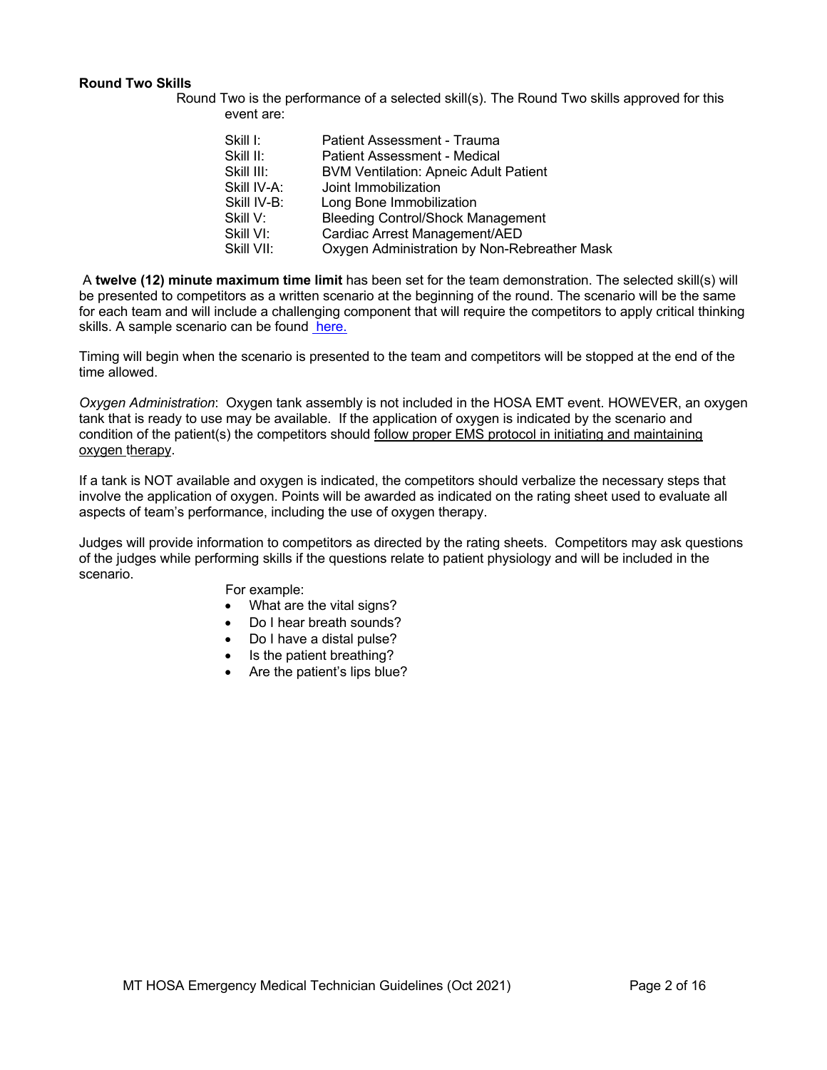#### **Round Two Skills**

Round Two is the performance of a selected skill(s). The Round Two skills approved for this event are:

| Skill I:    | Patient Assessment - Trauma                  |
|-------------|----------------------------------------------|
| Skill II:   | Patient Assessment - Medical                 |
| Skill III:  | <b>BVM Ventilation: Apneic Adult Patient</b> |
| Skill IV-A: | Joint Immobilization                         |
| Skill IV-B: | Long Bone Immobilization                     |
| Skill V:    | <b>Bleeding Control/Shock Management</b>     |
| Skill VI:   | Cardiac Arrest Management/AED                |
| Skill VII:  | Oxygen Administration by Non-Rebreather Mask |

A **twelve (12) minute maximum time limit** has been set for the team demonstration. The selected skill(s) will be presented to competitors as a written scenario at the beginning of the round. The scenario will be the same for each team and will include a challenging component that will require the competitors to apply critical thinking skills. A sample scenario can be found here.

Timing will begin when the scenario is presented to the team and competitors will be stopped at the end of the time allowed.

*Oxygen Administration*: Oxygen tank assembly is not included in the HOSA EMT event. HOWEVER, an oxygen tank that is ready to use may be available. If the application of oxygen is indicated by the scenario and condition of the patient(s) the competitors should follow proper EMS protocol in initiating and maintaining oxygen therapy.

If a tank is NOT available and oxygen is indicated, the competitors should verbalize the necessary steps that involve the application of oxygen. Points will be awarded as indicated on the rating sheet used to evaluate all aspects of team's performance, including the use of oxygen therapy.

Judges will provide information to competitors as directed by the rating sheets. Competitors may ask questions of the judges while performing skills if the questions relate to patient physiology and will be included in the scenario.

For example:

- What are the vital signs?
- Do I hear breath sounds?
- Do I have a distal pulse?
- Is the patient breathing?
- Are the patient's lips blue?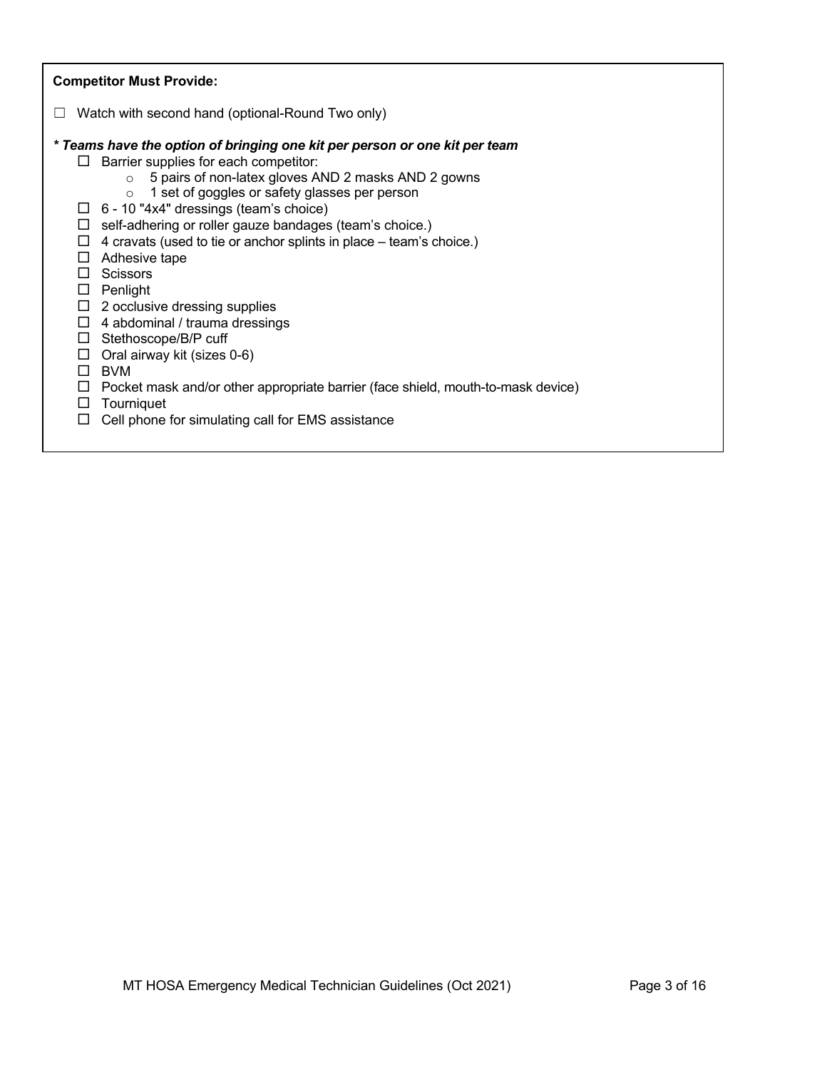| <b>Competitor Must Provide:</b>                                                                                                                                                                                                                                                                                                                                                                                                                                                                                                                                           |
|---------------------------------------------------------------------------------------------------------------------------------------------------------------------------------------------------------------------------------------------------------------------------------------------------------------------------------------------------------------------------------------------------------------------------------------------------------------------------------------------------------------------------------------------------------------------------|
| Watch with second hand (optional-Round Two only)                                                                                                                                                                                                                                                                                                                                                                                                                                                                                                                          |
| * Teams have the option of bringing one kit per person or one kit per team<br>Barrier supplies for each competitor:<br>$\Box$<br>5 pairs of non-latex gloves AND 2 masks AND 2 gowns<br>$\circ$<br>1 set of goggles or safety glasses per person<br>$\circ$<br>$\Box$ 6 - 10 "4x4" dressings (team's choice)<br>self-adhering or roller gauze bandages (team's choice.)<br>ப<br>4 cravats (used to tie or anchor splints in place – team's choice.)<br>$\Box$<br>Adhesive tape<br>ப<br><b>Scissors</b><br>П<br>Penlight<br>$\Box$<br>$\Box$ 2 occlusive dressing supplies |
| 4 abdominal / trauma dressings<br>$\Box$<br>Stethoscope/B/P cuff<br>$\Box$                                                                                                                                                                                                                                                                                                                                                                                                                                                                                                |
| Oral airway kit (sizes 0-6)<br>$\Box$<br><b>BVM</b><br>$\Box$                                                                                                                                                                                                                                                                                                                                                                                                                                                                                                             |
| Pocket mask and/or other appropriate barrier (face shield, mouth-to-mask device)<br>$\Box$<br>Tourniquet<br>$\Box$                                                                                                                                                                                                                                                                                                                                                                                                                                                        |
| Cell phone for simulating call for EMS assistance<br>$\Box$                                                                                                                                                                                                                                                                                                                                                                                                                                                                                                               |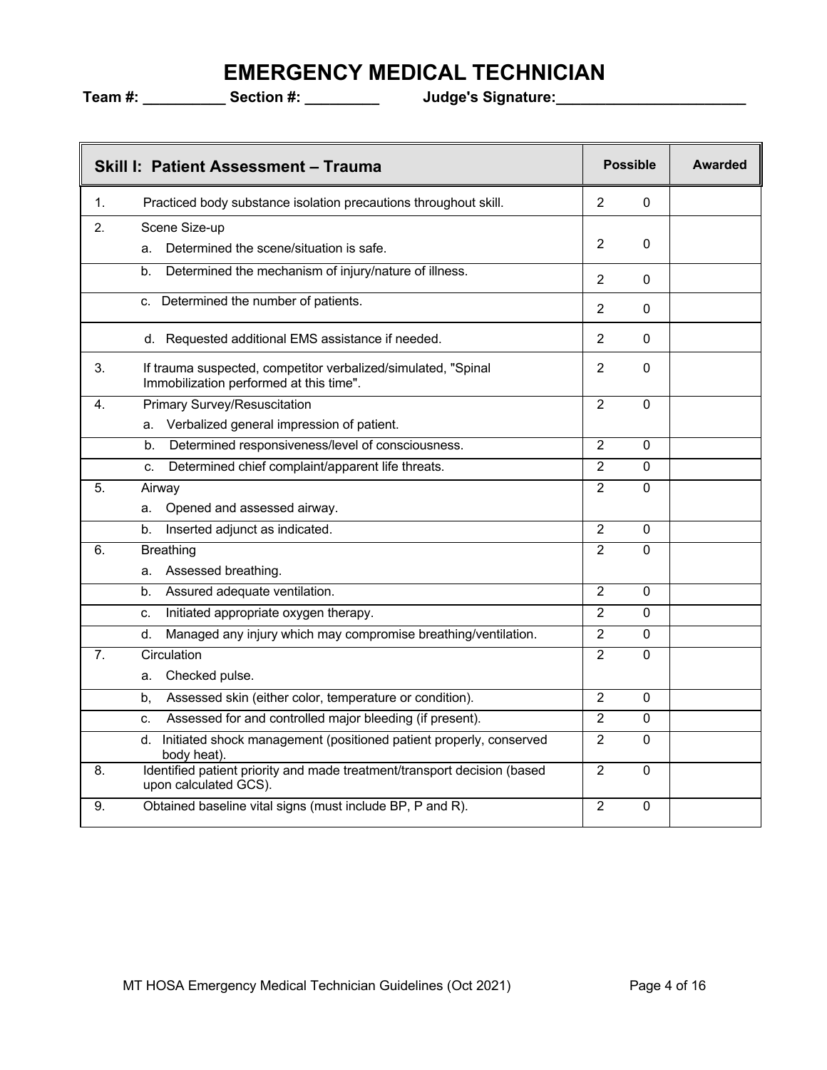|                  | Skill I: Patient Assessment - Trauma                                                                     |                | <b>Possible</b> | <b>Awarded</b> |
|------------------|----------------------------------------------------------------------------------------------------------|----------------|-----------------|----------------|
| 1.               | Practiced body substance isolation precautions throughout skill.                                         | $\overline{2}$ | 0               |                |
| 2.               | Scene Size-up                                                                                            |                |                 |                |
|                  | Determined the scene/situation is safe.<br>a.                                                            | 2              | 0               |                |
|                  | Determined the mechanism of injury/nature of illness.<br>b.                                              | $\overline{2}$ | 0               |                |
|                  | Determined the number of patients.<br>C.                                                                 | $\overline{2}$ | $\mathbf{0}$    |                |
|                  | d. Requested additional EMS assistance if needed.                                                        | $\overline{2}$ | 0               |                |
| 3.               | If trauma suspected, competitor verbalized/simulated, "Spinal<br>Immobilization performed at this time". | $\overline{2}$ | 0               |                |
| 4.               | <b>Primary Survey/Resuscitation</b>                                                                      | $\overline{2}$ | 0               |                |
|                  | Verbalized general impression of patient.<br>a.                                                          |                |                 |                |
|                  | Determined responsiveness/level of consciousness.<br>b.                                                  | $\overline{2}$ | 0               |                |
|                  | Determined chief complaint/apparent life threats.<br>C.                                                  | $\overline{2}$ | 0               |                |
| 5.               | Airway                                                                                                   | $\overline{2}$ | $\Omega$        |                |
|                  | Opened and assessed airway.<br>а.                                                                        |                |                 |                |
|                  | Inserted adjunct as indicated.<br>b.                                                                     | 2              | $\mathbf{0}$    |                |
| 6.               | <b>Breathing</b>                                                                                         | $\overline{2}$ | 0               |                |
|                  | Assessed breathing.<br>a.                                                                                |                |                 |                |
|                  | Assured adequate ventilation.<br>b.                                                                      | $\overline{2}$ | 0               |                |
|                  | Initiated appropriate oxygen therapy.<br>c.                                                              | $\overline{2}$ | 0               |                |
|                  | Managed any injury which may compromise breathing/ventilation.<br>d.                                     | $\overline{2}$ | 0               |                |
| $\overline{7}$ . | Circulation                                                                                              | $\overline{2}$ | 0               |                |
|                  | Checked pulse.<br>a.                                                                                     |                |                 |                |
|                  | Assessed skin (either color, temperature or condition).<br>b.                                            | $\overline{2}$ | $\mathbf{0}$    |                |
|                  | Assessed for and controlled major bleeding (if present).<br>c.                                           | $\overline{2}$ | 0               |                |
|                  | Initiated shock management (positioned patient properly, conserved<br>d.<br>body heat).                  | $\overline{2}$ | $\mathbf{0}$    |                |
| 8.               | Identified patient priority and made treatment/transport decision (based<br>upon calculated GCS).        | $\overline{2}$ | $\mathbf{0}$    |                |
| 9.               | Obtained baseline vital signs (must include BP, P and R).                                                | $\overline{2}$ | 0               |                |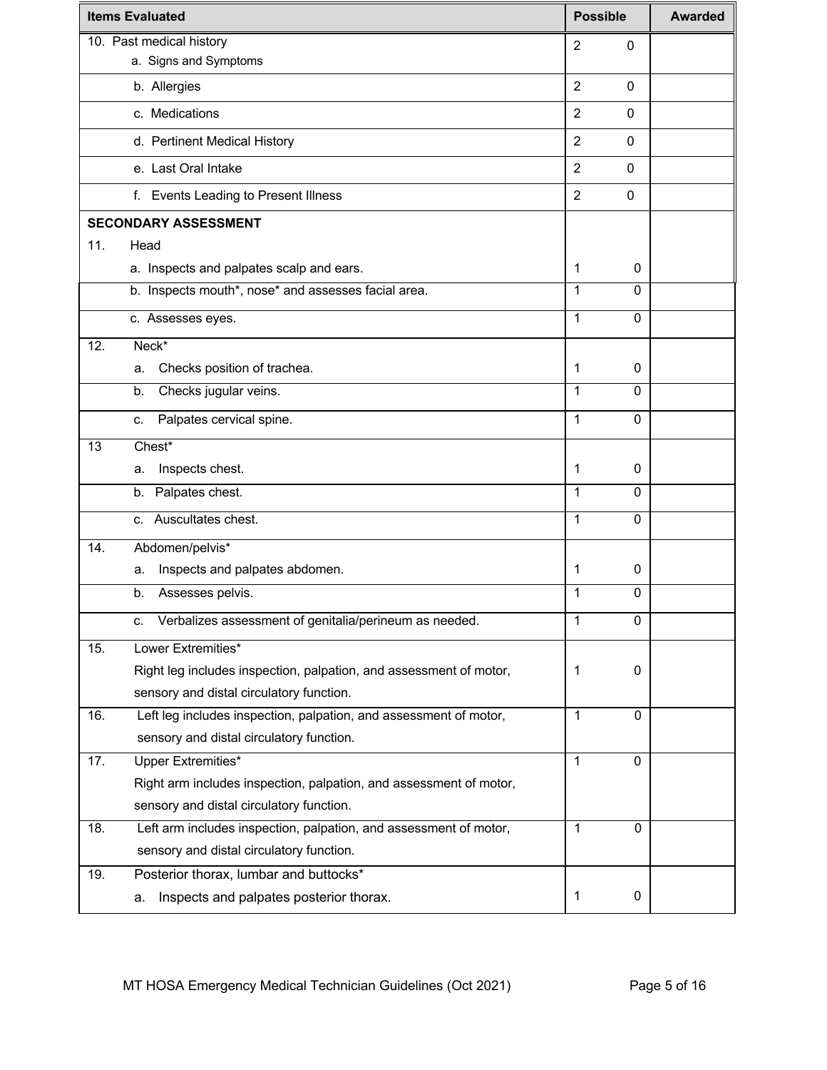|     | <b>Items Evaluated</b>                                             | <b>Possible</b> |              | <b>Awarded</b> |
|-----|--------------------------------------------------------------------|-----------------|--------------|----------------|
|     | 10. Past medical history                                           | $\overline{2}$  | 0            |                |
|     | a. Signs and Symptoms                                              |                 |              |                |
|     | b. Allergies                                                       | $\overline{2}$  | 0            |                |
|     | c. Medications                                                     | $\overline{2}$  | $\Omega$     |                |
|     | d. Pertinent Medical History                                       | $\overline{2}$  | $\Omega$     |                |
|     | e. Last Oral Intake                                                | $\overline{2}$  | $\Omega$     |                |
|     | f. Events Leading to Present Illness                               | $\overline{2}$  | 0            |                |
|     | <b>SECONDARY ASSESSMENT</b>                                        |                 |              |                |
| 11. | Head                                                               |                 |              |                |
|     | a. Inspects and palpates scalp and ears.                           | 1               | 0            |                |
|     | b. Inspects mouth*, nose* and assesses facial area.                | 1               | $\Omega$     |                |
|     | c. Assesses eyes.                                                  | 1               | $\Omega$     |                |
| 12. | Neck*                                                              |                 |              |                |
|     | Checks position of trachea.<br>a.                                  | 1               | 0            |                |
|     | Checks jugular veins.<br>b.                                        | 1               | $\Omega$     |                |
|     | Palpates cervical spine.<br>C.                                     | $\mathbf{1}$    | $\Omega$     |                |
| 13  | Chest*                                                             |                 |              |                |
|     | Inspects chest.<br>а.                                              | 1               | 0            |                |
|     | b. Palpates chest.                                                 | 1               | $\Omega$     |                |
|     | c. Auscultates chest.                                              | 1               | $\Omega$     |                |
| 14. | Abdomen/pelvis*                                                    |                 |              |                |
|     | Inspects and palpates abdomen.<br>а.                               | 1               | 0            |                |
|     | Assesses pelvis.<br>b.                                             | 1               | 0            |                |
|     | Verbalizes assessment of genitalia/perineum as needed.<br>c.       | 1               | 0            |                |
| 15. | Lower Extremities*                                                 |                 |              |                |
|     | Right leg includes inspection, palpation, and assessment of motor, | 1               | 0            |                |
|     | sensory and distal circulatory function.                           |                 |              |                |
| 16. | Left leg includes inspection, palpation, and assessment of motor,  | 1               | 0            |                |
|     | sensory and distal circulatory function.                           |                 |              |                |
| 17. | <b>Upper Extremities*</b>                                          | $\mathbf{1}$    | $\mathbf{0}$ |                |
|     | Right arm includes inspection, palpation, and assessment of motor, |                 |              |                |
|     | sensory and distal circulatory function.                           |                 |              |                |
| 18. | Left arm includes inspection, palpation, and assessment of motor,  | 1               | $\mathbf{0}$ |                |
|     | sensory and distal circulatory function.                           |                 |              |                |
| 19. | Posterior thorax, lumbar and buttocks*                             |                 |              |                |
|     | Inspects and palpates posterior thorax.<br>а.                      | $\mathbf 1$     | 0            |                |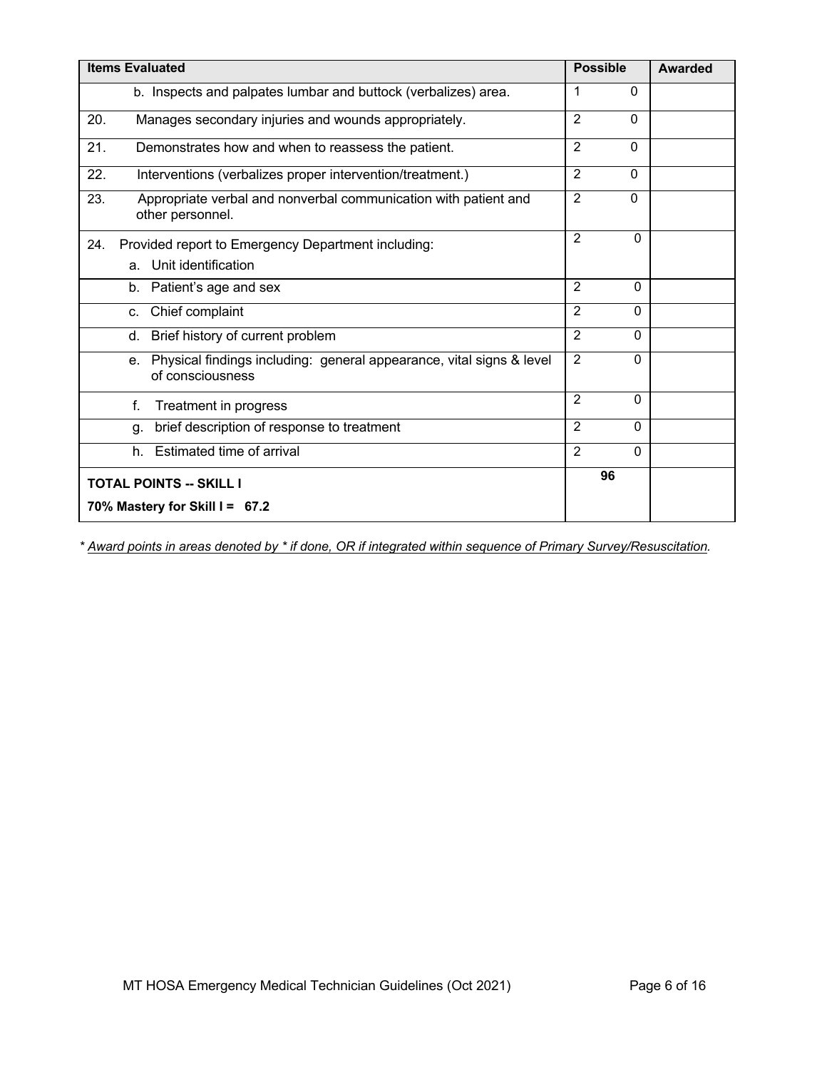| <b>Items Evaluated</b>                                                                         | <b>Possible</b>            | Awarded |
|------------------------------------------------------------------------------------------------|----------------------------|---------|
| b. Inspects and palpates lumbar and buttock (verbalizes) area.                                 | 1<br>$\Omega$              |         |
| Manages secondary injuries and wounds appropriately.<br>20.                                    | $\overline{2}$<br>$\Omega$ |         |
| 21.<br>Demonstrates how and when to reassess the patient.                                      | $\overline{2}$<br>$\Omega$ |         |
| 22.<br>Interventions (verbalizes proper intervention/treatment.)                               | $\overline{2}$<br>$\Omega$ |         |
| 23.<br>Appropriate verbal and nonverbal communication with patient and<br>other personnel.     | $\overline{2}$<br>$\Omega$ |         |
| Provided report to Emergency Department including:<br>24.                                      | $\overline{2}$<br>$\Omega$ |         |
| a. Unit identification                                                                         |                            |         |
| b. Patient's age and sex                                                                       | $\overline{2}$<br>$\Omega$ |         |
| Chief complaint<br>c.                                                                          | $\overline{2}$<br>$\Omega$ |         |
| Brief history of current problem<br>d.                                                         | 2<br>$\Omega$              |         |
| Physical findings including: general appearance, vital signs & level<br>е.<br>of consciousness | $\mathbf{2}$<br>$\Omega$   |         |
| f.<br>Treatment in progress                                                                    | $\overline{2}$<br>$\Omega$ |         |
| brief description of response to treatment<br>q.                                               | $\overline{2}$<br>$\Omega$ |         |
| Estimated time of arrival<br>h.                                                                | $\overline{2}$<br>$\Omega$ |         |
| <b>TOTAL POINTS -- SKILL I</b>                                                                 | 96                         |         |
| 70% Mastery for Skill I = 67.2                                                                 |                            |         |

*\* Award points in areas denoted by \* if done, OR if integrated within sequence of Primary Survey/Resuscitation.*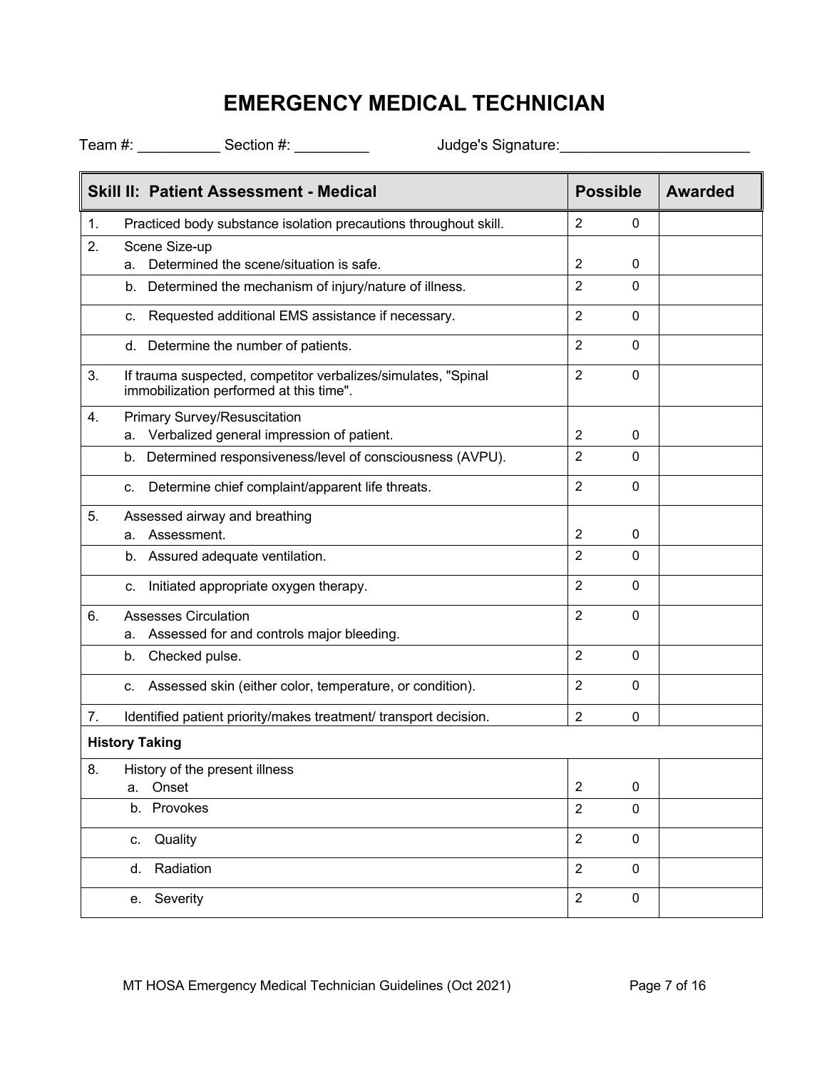|    | Skill II: Patient Assessment - Medical                                                                   | <b>Possible</b>               | <b>Awarded</b> |
|----|----------------------------------------------------------------------------------------------------------|-------------------------------|----------------|
| 1. | Practiced body substance isolation precautions throughout skill.                                         | $\overline{2}$<br>0           |                |
| 2. | Scene Size-up                                                                                            |                               |                |
|    | Determined the scene/situation is safe.<br>а.                                                            | 2<br>0                        |                |
|    | b. Determined the mechanism of injury/nature of illness.                                                 | $\overline{2}$<br>0           |                |
|    | c. Requested additional EMS assistance if necessary.                                                     | $\overline{2}$<br>$\Omega$    |                |
|    | d. Determine the number of patients.                                                                     | $\overline{2}$<br>$\Omega$    |                |
| 3. | If trauma suspected, competitor verbalizes/simulates, "Spinal<br>immobilization performed at this time". | $\overline{2}$<br>$\mathbf 0$ |                |
| 4. | Primary Survey/Resuscitation                                                                             |                               |                |
|    | a. Verbalized general impression of patient.                                                             | 2<br>0                        |                |
|    | b. Determined responsiveness/level of consciousness (AVPU).                                              | $\overline{2}$<br>$\Omega$    |                |
|    | Determine chief complaint/apparent life threats.<br>c.                                                   | $\overline{2}$<br>$\mathbf 0$ |                |
| 5. | Assessed airway and breathing                                                                            |                               |                |
|    | Assessment.<br>a.                                                                                        | $\overline{2}$<br>0           |                |
|    | b. Assured adequate ventilation.                                                                         | $\overline{2}$<br>$\Omega$    |                |
|    | Initiated appropriate oxygen therapy.<br>c.                                                              | $\overline{2}$<br>$\Omega$    |                |
| 6. | <b>Assesses Circulation</b>                                                                              | $\overline{2}$<br>$\mathbf 0$ |                |
|    | Assessed for and controls major bleeding.<br>a.                                                          |                               |                |
|    | Checked pulse.<br>b.                                                                                     | $\overline{2}$<br>0           |                |
|    | Assessed skin (either color, temperature, or condition).<br>c.                                           | $\overline{2}$<br>$\mathbf 0$ |                |
| 7. | Identified patient priority/makes treatment/ transport decision.                                         | $\overline{2}$<br>$\Omega$    |                |
|    | <b>History Taking</b>                                                                                    |                               |                |
| 8. | History of the present illness                                                                           |                               |                |
|    | Onset<br>a.                                                                                              | $\overline{c}$<br>0           |                |
|    | Provokes<br>b.                                                                                           | $\overline{2}$<br>$\pmb{0}$   |                |
|    | Quality<br>C.                                                                                            | $\overline{2}$<br>$\mathbf 0$ |                |
|    | Radiation<br>d.                                                                                          | $\overline{2}$<br>$\pmb{0}$   |                |
|    | e. Severity                                                                                              | $\overline{2}$<br>$\pmb{0}$   |                |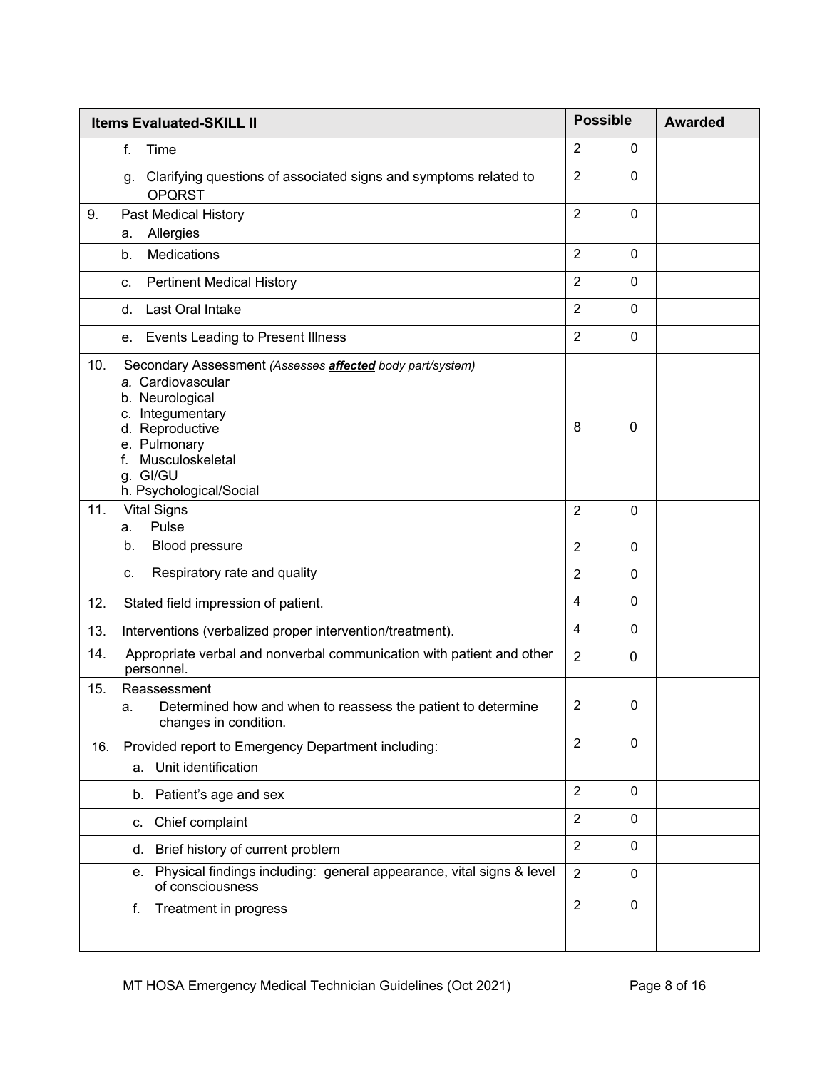| <b>Items Evaluated-SKILL II</b>                                                                                                                                                                                                 | <b>Possible</b>                | <b>Awarded</b> |
|---------------------------------------------------------------------------------------------------------------------------------------------------------------------------------------------------------------------------------|--------------------------------|----------------|
| f.<br>Time                                                                                                                                                                                                                      | $\overline{2}$<br>$\mathbf{0}$ |                |
| g. Clarifying questions of associated signs and symptoms related to<br><b>OPQRST</b>                                                                                                                                            | $\overline{2}$<br>$\mathbf{0}$ |                |
| Past Medical History<br>9.<br>Allergies<br>а.                                                                                                                                                                                   | $\overline{2}$<br>$\mathbf{0}$ |                |
| Medications<br>b.                                                                                                                                                                                                               | $\overline{2}$<br>$\mathbf 0$  |                |
| <b>Pertinent Medical History</b><br>C.                                                                                                                                                                                          | $\overline{2}$<br>$\mathbf 0$  |                |
| Last Oral Intake<br>d.                                                                                                                                                                                                          | $\overline{2}$<br>$\mathbf 0$  |                |
| e. Events Leading to Present Illness                                                                                                                                                                                            | $\overline{2}$<br>$\mathbf{0}$ |                |
| 10.<br>Secondary Assessment (Assesses affected body part/system)<br>a. Cardiovascular<br>b. Neurological<br>c. Integumentary<br>d. Reproductive<br>e. Pulmonary<br>Musculoskeletal<br>f.<br>g. GI/GU<br>h. Psychological/Social | 8<br>0                         |                |
| <b>Vital Signs</b><br>11.                                                                                                                                                                                                       | $\overline{2}$<br>$\mathbf 0$  |                |
| Pulse<br>a.<br>b.<br>Blood pressure                                                                                                                                                                                             | $\overline{2}$<br>$\mathbf{0}$ |                |
| Respiratory rate and quality<br>C.                                                                                                                                                                                              | $\overline{2}$<br>$\mathbf 0$  |                |
| 12.<br>Stated field impression of patient.                                                                                                                                                                                      | $\overline{4}$<br>$\mathbf 0$  |                |
| 13.<br>Interventions (verbalized proper intervention/treatment).                                                                                                                                                                | 4<br>$\mathbf{0}$              |                |
| Appropriate verbal and nonverbal communication with patient and other<br>14.<br>personnel.                                                                                                                                      | 2<br>$\mathbf 0$               |                |
| 15.<br>Reassessment<br>Determined how and when to reassess the patient to determine<br>a.<br>changes in condition.                                                                                                              | $\overline{2}$<br>0            |                |
| Provided report to Emergency Department including:<br>16.<br>Unit identification<br>a.                                                                                                                                          | 2<br>0                         |                |
| Patient's age and sex<br>b.                                                                                                                                                                                                     | $\overline{2}$<br>$\mathbf{0}$ |                |
| Chief complaint<br>c.                                                                                                                                                                                                           | $\overline{2}$<br>$\pmb{0}$    |                |
| Brief history of current problem<br>d.                                                                                                                                                                                          | $\overline{2}$<br>$\mathbf{0}$ |                |
| Physical findings including: general appearance, vital signs & level<br>е.<br>of consciousness                                                                                                                                  | $\overline{2}$<br>$\mathbf{0}$ |                |
| Treatment in progress<br>f.                                                                                                                                                                                                     | $\overline{2}$<br>0            |                |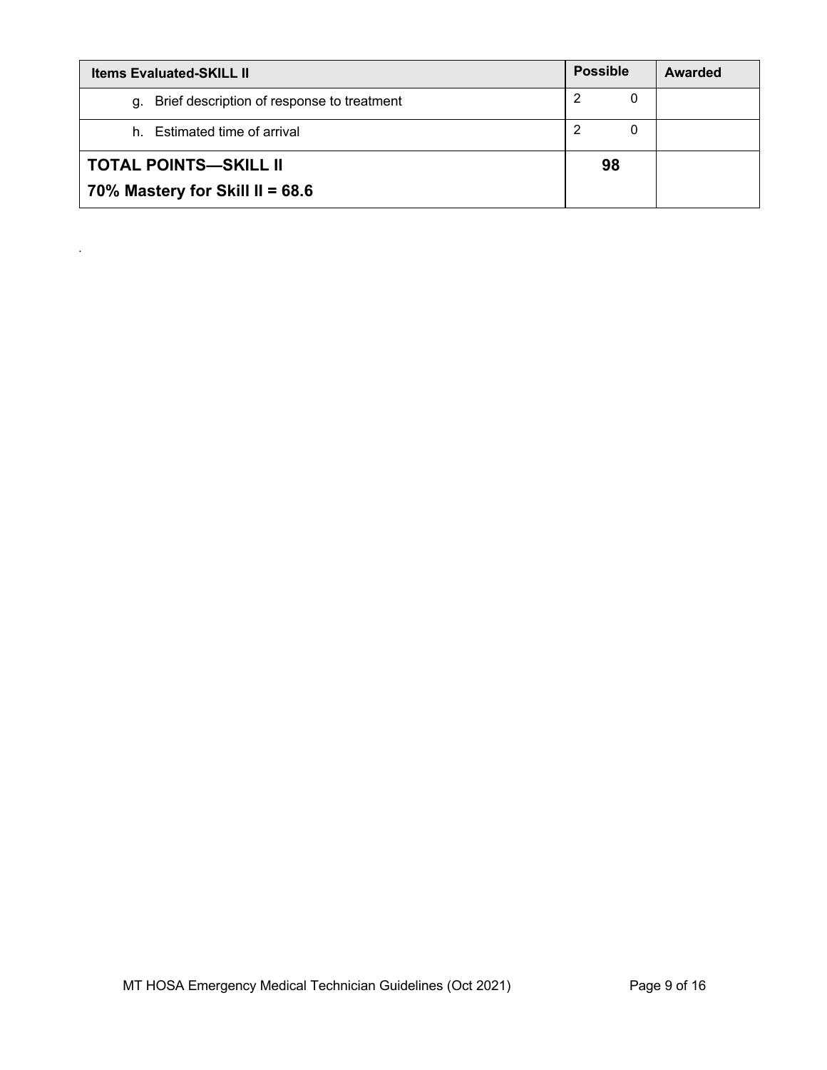| <b>Possible</b><br><b>Items Evaluated-SKILL II</b> |        | Awarded |
|----------------------------------------------------|--------|---------|
| g. Brief description of response to treatment      | 2<br>0 |         |
| h. Estimated time of arrival                       | -2     |         |
| <b>TOTAL POINTS-SKILL II</b>                       | 98     |         |
| 70% Mastery for Skill II = 68.6                    |        |         |

*.*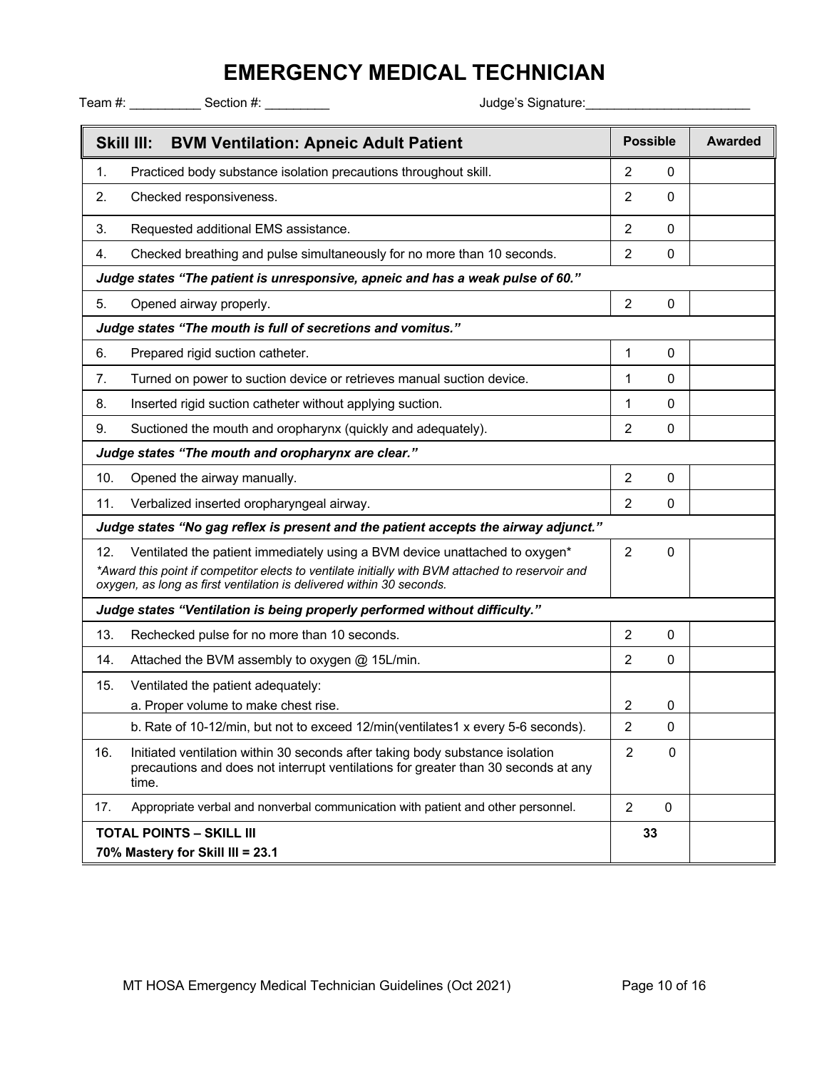|            | Team #: ________________ Section #: __________                                                                                                                                                                                                          |                |                 |                |
|------------|---------------------------------------------------------------------------------------------------------------------------------------------------------------------------------------------------------------------------------------------------------|----------------|-----------------|----------------|
| Skill III: | <b>BVM Ventilation: Apneic Adult Patient</b>                                                                                                                                                                                                            |                | <b>Possible</b> | <b>Awarded</b> |
| 1.         | Practiced body substance isolation precautions throughout skill.                                                                                                                                                                                        | 2              | 0               |                |
| 2.         | Checked responsiveness.                                                                                                                                                                                                                                 | 2              | $\Omega$        |                |
| 3.         | Requested additional EMS assistance.                                                                                                                                                                                                                    | 2              | $\Omega$        |                |
| 4.         | Checked breathing and pulse simultaneously for no more than 10 seconds.                                                                                                                                                                                 | 2              | $\Omega$        |                |
|            | Judge states "The patient is unresponsive, apneic and has a weak pulse of 60."                                                                                                                                                                          |                |                 |                |
| 5.         | Opened airway properly.                                                                                                                                                                                                                                 | 2              | 0               |                |
|            | Judge states "The mouth is full of secretions and vomitus."                                                                                                                                                                                             |                |                 |                |
| 6.         | Prepared rigid suction catheter.                                                                                                                                                                                                                        | 1              | 0               |                |
| 7.         | Turned on power to suction device or retrieves manual suction device.                                                                                                                                                                                   | 1              | 0               |                |
| 8.         | Inserted rigid suction catheter without applying suction.                                                                                                                                                                                               | 1              | 0               |                |
| 9.         | Suctioned the mouth and oropharynx (quickly and adequately).                                                                                                                                                                                            | 2              | 0               |                |
|            | Judge states "The mouth and oropharynx are clear."                                                                                                                                                                                                      |                |                 |                |
| 10.        | Opened the airway manually.                                                                                                                                                                                                                             | $\overline{2}$ | 0               |                |
| 11.        | Verbalized inserted oropharyngeal airway.                                                                                                                                                                                                               | 2              | 0               |                |
|            | Judge states "No gag reflex is present and the patient accepts the airway adjunct."                                                                                                                                                                     |                |                 |                |
| 12.        | Ventilated the patient immediately using a BVM device unattached to oxygen*<br>*Award this point if competitor elects to ventilate initially with BVM attached to reservoir and<br>oxygen, as long as first ventilation is delivered within 30 seconds. | $\overline{2}$ | 0               |                |
|            | Judge states "Ventilation is being properly performed without difficulty."                                                                                                                                                                              |                |                 |                |
| 13.        | Rechecked pulse for no more than 10 seconds.                                                                                                                                                                                                            | 2              | $\Omega$        |                |
| 14.        | Attached the BVM assembly to oxygen @ 15L/min.                                                                                                                                                                                                          | $\overline{2}$ | 0               |                |
| 15.        | Ventilated the patient adequately:                                                                                                                                                                                                                      |                |                 |                |
|            | a. Proper volume to make chest rise.                                                                                                                                                                                                                    | 2              | 0               |                |
|            | b. Rate of 10-12/min, but not to exceed 12/min(ventilates1 x every 5-6 seconds).                                                                                                                                                                        | 2              | $\mathbf{0}$    |                |
| 16.        | Initiated ventilation within 30 seconds after taking body substance isolation<br>precautions and does not interrupt ventilations for greater than 30 seconds at any<br>time.                                                                            | $\overline{2}$ | $\mathbf{0}$    |                |
| 17.        | Appropriate verbal and nonverbal communication with patient and other personnel.                                                                                                                                                                        | $\overline{2}$ | $\mathbf 0$     |                |
|            | <b>TOTAL POINTS - SKILL III</b><br>70% Mastery for Skill III = 23.1                                                                                                                                                                                     |                | 33              |                |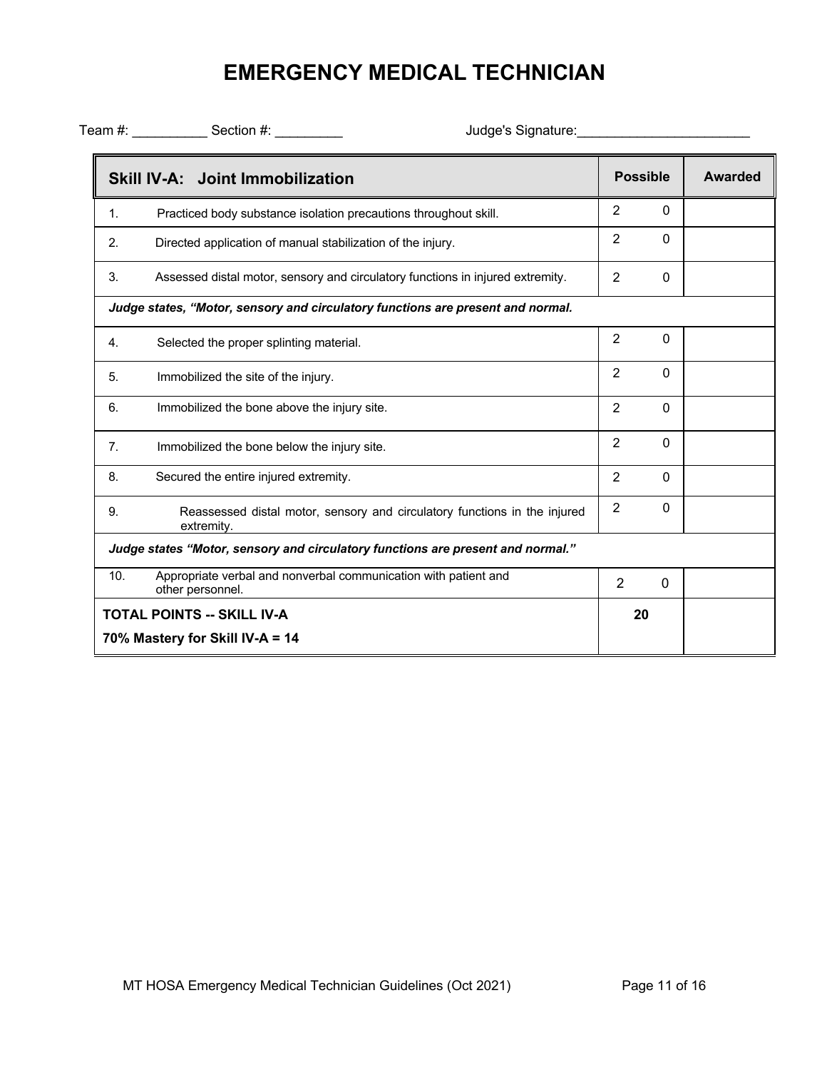|     | <b>Skill IV-A: Joint Immobilization</b>                                                 |                | <b>Possible</b> | <b>Awarded</b> |
|-----|-----------------------------------------------------------------------------------------|----------------|-----------------|----------------|
| 1.  | Practiced body substance isolation precautions throughout skill.                        | 2              | $\mathbf{0}$    |                |
| 2.  | Directed application of manual stabilization of the injury.                             | 2              | $\Omega$        |                |
| 3.  | Assessed distal motor, sensory and circulatory functions in injured extremity.          | $\overline{2}$ | 0               |                |
|     | Judge states, "Motor, sensory and circulatory functions are present and normal.         |                |                 |                |
| 4.  | Selected the proper splinting material.                                                 | 2              | $\mathbf{0}$    |                |
| 5.  | Immobilized the site of the injury.                                                     | 2              | $\mathbf{0}$    |                |
| 6.  | Immobilized the bone above the injury site.                                             | $\overline{2}$ | $\mathbf{0}$    |                |
| 7.  | Immobilized the bone below the injury site.                                             | 2              | $\mathbf{0}$    |                |
| 8.  | Secured the entire injured extremity.                                                   | $\overline{2}$ | $\mathbf{0}$    |                |
| 9.  | Reassessed distal motor, sensory and circulatory functions in the injured<br>extremity. | $\overline{2}$ | $\mathbf{0}$    |                |
|     | Judge states "Motor, sensory and circulatory functions are present and normal."         |                |                 |                |
| 10. | Appropriate verbal and nonverbal communication with patient and<br>other personnel.     | $\overline{2}$ | $\Omega$        |                |
|     | <b>TOTAL POINTS -- SKILL IV-A</b>                                                       | 20             |                 |                |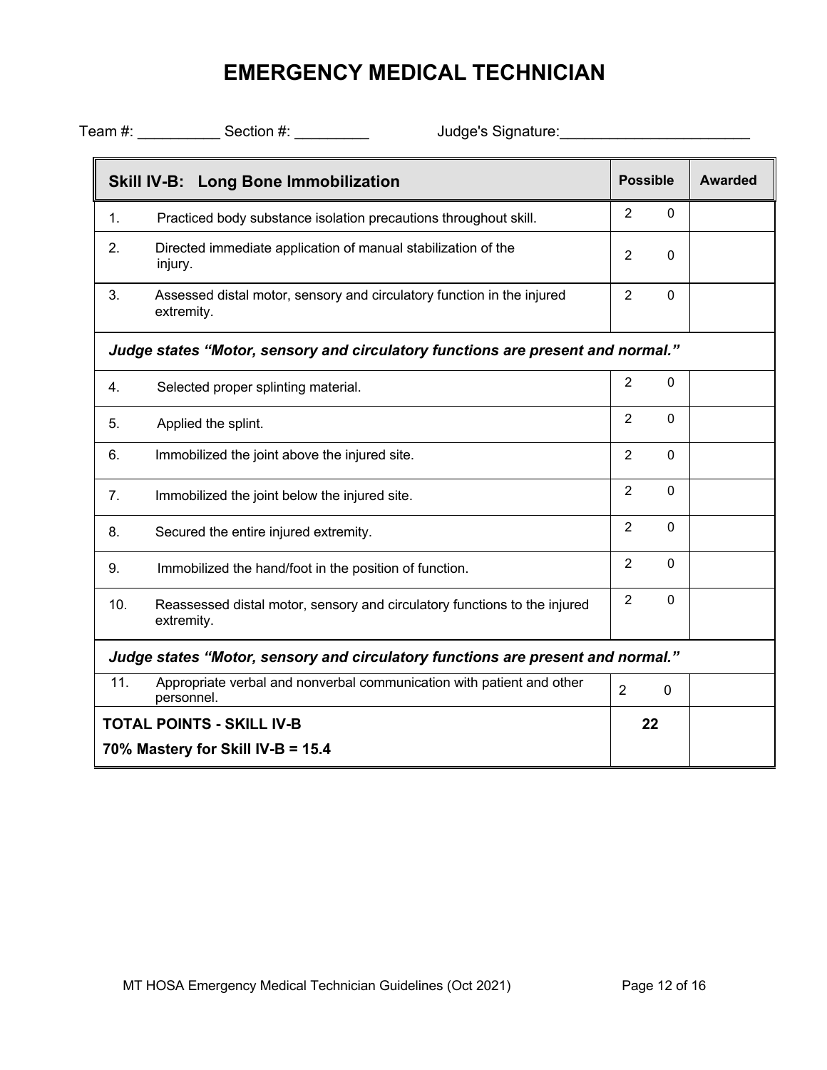|     | Team #: Section #:<br>Judge's Signature:                                                |                |                 |                |
|-----|-----------------------------------------------------------------------------------------|----------------|-----------------|----------------|
|     | <b>Skill IV-B: Long Bone Immobilization</b>                                             |                | <b>Possible</b> | <b>Awarded</b> |
| 1.  | Practiced body substance isolation precautions throughout skill.                        | $\overline{2}$ | $\mathbf{0}$    |                |
| 2.  | Directed immediate application of manual stabilization of the<br>injury.                | $\overline{2}$ | 0               |                |
| 3.  | Assessed distal motor, sensory and circulatory function in the injured<br>extremity.    | $\overline{2}$ | $\mathbf 0$     |                |
|     | Judge states "Motor, sensory and circulatory functions are present and normal."         |                |                 |                |
| 4.  | Selected proper splinting material.                                                     | $\overline{2}$ | $\mathbf 0$     |                |
| 5.  | Applied the splint.                                                                     | $\overline{2}$ | $\mathbf 0$     |                |
| 6.  | Immobilized the joint above the injured site.                                           | $\overline{2}$ | $\Omega$        |                |
| 7.  | Immobilized the joint below the injured site.                                           | $\overline{2}$ | $\Omega$        |                |
| 8.  | Secured the entire injured extremity.                                                   | $\overline{2}$ | $\Omega$        |                |
| 9.  | Immobilized the hand/foot in the position of function.                                  | $\overline{2}$ | $\Omega$        |                |
| 10. | Reassessed distal motor, sensory and circulatory functions to the injured<br>extremity. | $\overline{2}$ | $\mathbf 0$     |                |
|     | Judge states "Motor, sensory and circulatory functions are present and normal."         |                |                 |                |
| 11. | Appropriate verbal and nonverbal communication with patient and other<br>personnel.     | $\overline{2}$ | 0               |                |
|     | <b>TOTAL POINTS - SKILL IV-B</b>                                                        |                | 22              |                |
|     | 70% Mastery for Skill IV-B = 15.4                                                       |                |                 |                |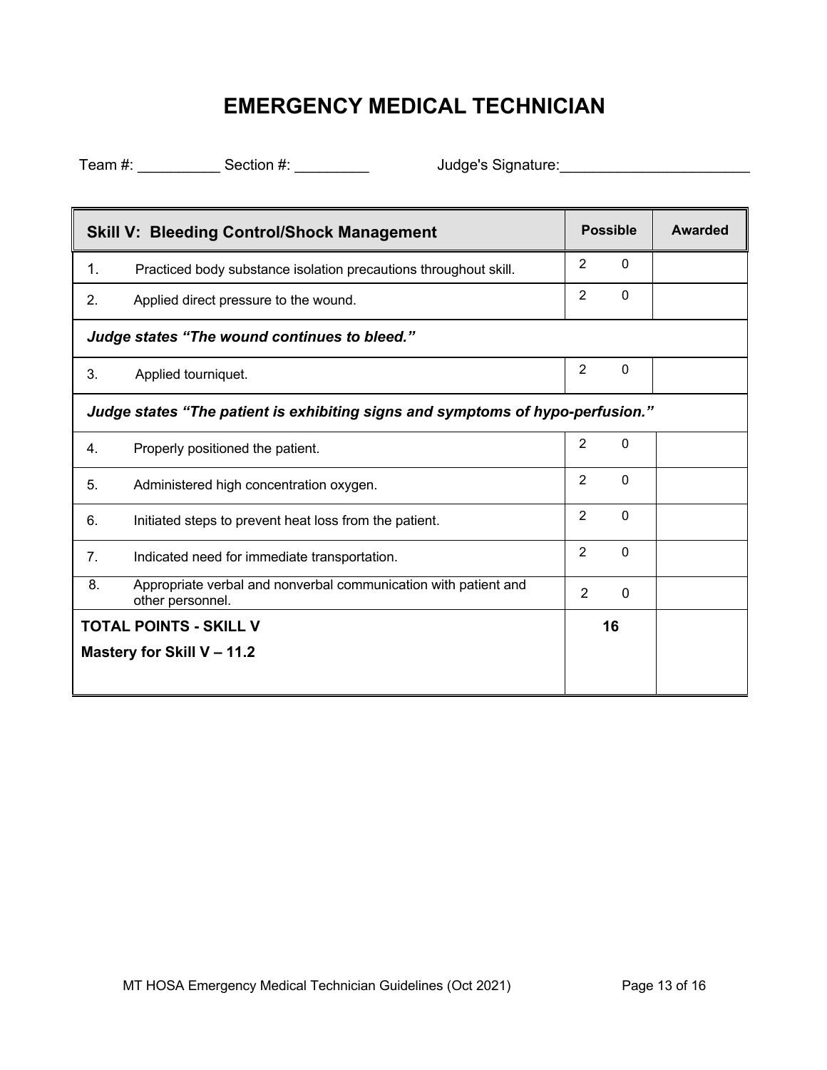| <b>Skill V: Bleeding Control/Shock Management</b>                              |                                                                                     | <b>Possible</b> |              | Awarded |
|--------------------------------------------------------------------------------|-------------------------------------------------------------------------------------|-----------------|--------------|---------|
| 1.                                                                             | Practiced body substance isolation precautions throughout skill.                    | 2               | $\mathbf{0}$ |         |
| 2.                                                                             | Applied direct pressure to the wound.                                               | $\overline{2}$  | $\mathbf{0}$ |         |
|                                                                                | Judge states "The wound continues to bleed."                                        |                 |              |         |
| 3.                                                                             | Applied tourniquet.                                                                 | 2               | $\Omega$     |         |
| Judge states "The patient is exhibiting signs and symptoms of hypo-perfusion." |                                                                                     |                 |              |         |
| 4.                                                                             | Properly positioned the patient.                                                    | $\overline{2}$  | $\mathbf{0}$ |         |
| 5.                                                                             | Administered high concentration oxygen.                                             | 2               | $\mathbf{0}$ |         |
| 6.                                                                             | Initiated steps to prevent heat loss from the patient.                              | $\overline{2}$  | $\mathbf{0}$ |         |
| 7.                                                                             | Indicated need for immediate transportation.                                        | $\overline{2}$  | $\mathbf{0}$ |         |
| 8.                                                                             | Appropriate verbal and nonverbal communication with patient and<br>other personnel. | $\overline{2}$  | $\mathbf 0$  |         |
| TOTAL POINTS - SKILL V                                                         |                                                                                     |                 | 16           |         |
| Mastery for Skill V - 11.2                                                     |                                                                                     |                 |              |         |
|                                                                                |                                                                                     |                 |              |         |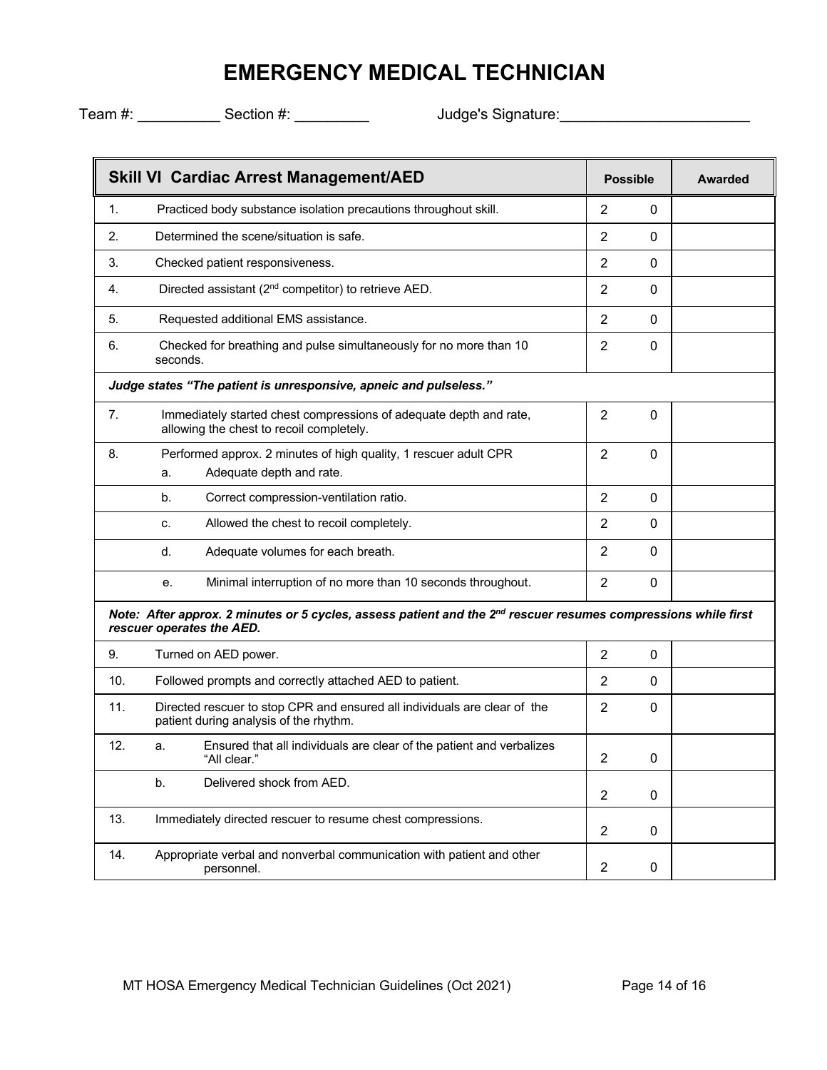|                                                                                                                                             | <b>Skill VI Cardiac Arrest Management/AED</b>                                                                       | <b>Possible</b>                | <b>Awarded</b> |  |
|---------------------------------------------------------------------------------------------------------------------------------------------|---------------------------------------------------------------------------------------------------------------------|--------------------------------|----------------|--|
| 1.                                                                                                                                          | Practiced body substance isolation precautions throughout skill.                                                    | 2<br>0                         |                |  |
| 2.                                                                                                                                          | Determined the scene/situation is safe.                                                                             | 2<br>$\Omega$                  |                |  |
| 3.                                                                                                                                          | Checked patient responsiveness.                                                                                     | 2<br>0                         |                |  |
| 4.                                                                                                                                          | Directed assistant (2 <sup>nd</sup> competitor) to retrieve AED.                                                    | $\overline{2}$<br>0            |                |  |
| 5.                                                                                                                                          | Requested additional EMS assistance.                                                                                | $\overline{2}$<br>$\Omega$     |                |  |
| 6.                                                                                                                                          | Checked for breathing and pulse simultaneously for no more than 10<br>seconds.                                      | 2<br>0                         |                |  |
|                                                                                                                                             | Judge states "The patient is unresponsive, apneic and pulseless."                                                   |                                |                |  |
| 7.                                                                                                                                          | Immediately started chest compressions of adequate depth and rate,<br>allowing the chest to recoil completely.      | $\overline{2}$<br>0            |                |  |
| 8.                                                                                                                                          | Performed approx. 2 minutes of high quality, 1 rescuer adult CPR<br>Adequate depth and rate.<br>a.                  | $\overline{2}$<br>$\mathbf{0}$ |                |  |
|                                                                                                                                             | Correct compression-ventilation ratio.<br>b.                                                                        | 2<br>$\mathbf{0}$              |                |  |
|                                                                                                                                             | Allowed the chest to recoil completely.<br>c.                                                                       | 2<br>$\Omega$                  |                |  |
|                                                                                                                                             | Adequate volumes for each breath.<br>d.                                                                             | 2<br>$\mathbf{0}$              |                |  |
|                                                                                                                                             | Minimal interruption of no more than 10 seconds throughout.<br>е.                                                   | 2<br>$\mathbf{0}$              |                |  |
| Note: After approx. 2 minutes or 5 cycles, assess patient and the 2nd rescuer resumes compressions while first<br>rescuer operates the AED. |                                                                                                                     |                                |                |  |
| 9.                                                                                                                                          | Turned on AED power.                                                                                                | 2<br>0                         |                |  |
| 10.                                                                                                                                         | Followed prompts and correctly attached AED to patient.                                                             | 2<br>0                         |                |  |
| 11.                                                                                                                                         | Directed rescuer to stop CPR and ensured all individuals are clear of the<br>patient during analysis of the rhythm. | 2<br>0                         |                |  |
| 12.                                                                                                                                         | Ensured that all individuals are clear of the patient and verbalizes<br>a.<br>"All clear."                          | 2<br>0                         |                |  |
|                                                                                                                                             | Delivered shock from AED.<br>b.                                                                                     | $\overline{2}$<br>0            |                |  |
| 13.                                                                                                                                         | Immediately directed rescuer to resume chest compressions.                                                          | 2<br>0                         |                |  |
| 14.                                                                                                                                         | Appropriate verbal and nonverbal communication with patient and other<br>personnel.                                 | $\overline{2}$<br>$\mathbf 0$  |                |  |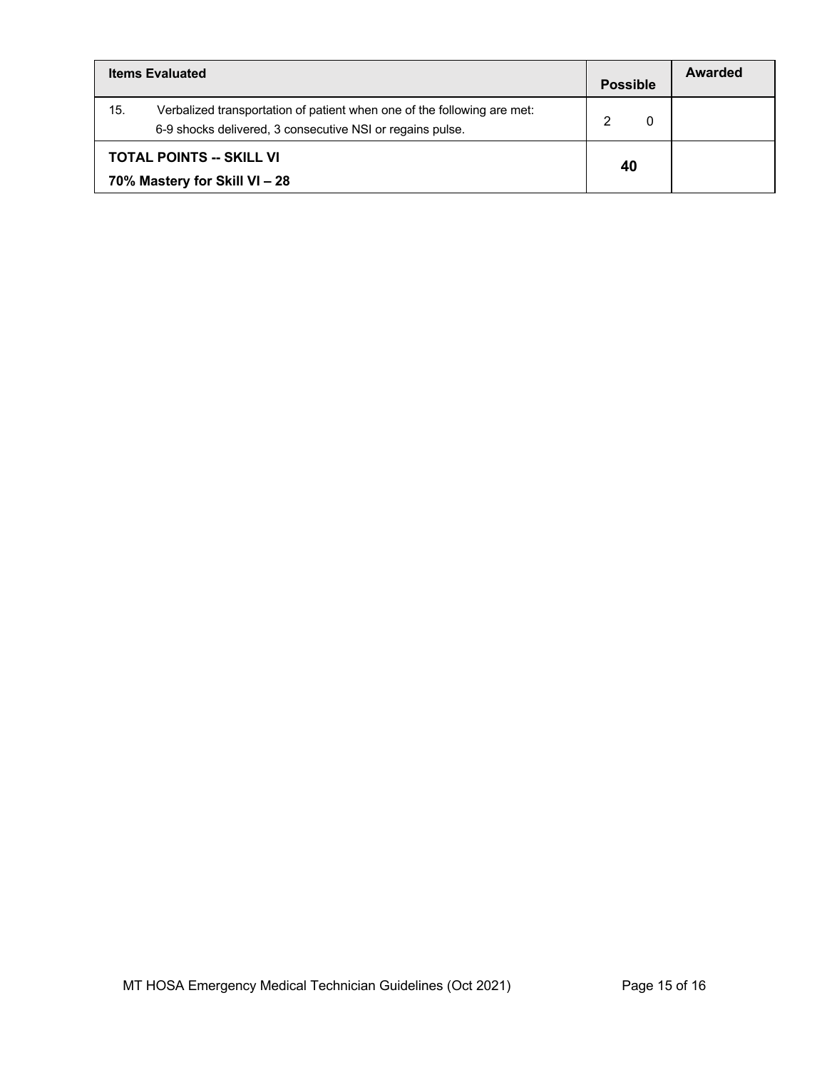| <b>Items Evaluated</b>                                                                                                                      |   | Awarded |
|---------------------------------------------------------------------------------------------------------------------------------------------|---|---------|
| 15.<br>Verbalized transportation of patient when one of the following are met:<br>6-9 shocks delivered, 3 consecutive NSI or regains pulse. | າ |         |
| <b>TOTAL POINTS -- SKILL VI</b><br>70% Mastery for Skill VI - 28                                                                            |   |         |